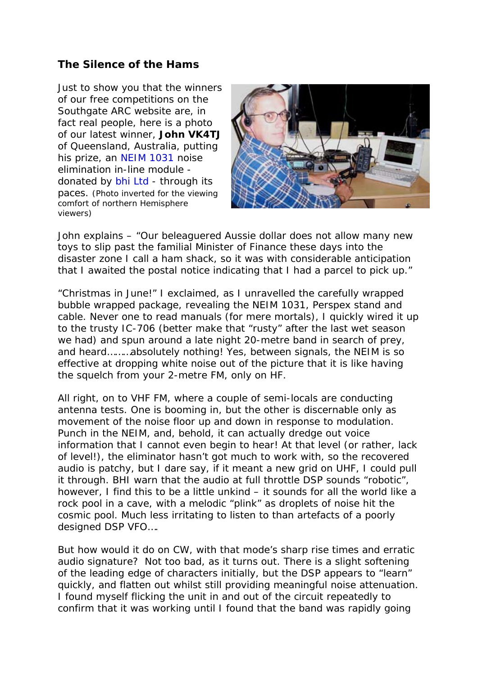## **The Silence of the Hams**

Just to show you that the winners of our free competitions on the Southgate ARC website are, in fact real people, here is a photo of our latest winner, *John VK4TJ* of Queensland, Australia, putting his prize, an NEIM 1031 noise elimination in-line module donated by bhi Ltd - through its paces. (Photo inverted for the viewing comfort of northern Hemisphere viewers)



John explains – "Our beleaguered Aussie dollar does not allow many new toys to slip past the familial Minister of Finance these days into the disaster zone I call a ham shack, so it was with considerable anticipation that I awaited the postal notice indicating that I had a parcel to pick up."

"Christmas in June!" I exclaimed, as I unravelled the carefully wrapped bubble wrapped package, revealing the NEIM 1031, Perspex stand and cable. Never one to read manuals (for mere mortals), I quickly wired it up to the trusty IC-706 (better make that "rusty" after the last wet season we had) and spun around a late night 20-metre band in search of prey, and heard………absolutely nothing! Yes, between signals, the NEIM is so effective at dropping white noise out of the picture that it is like having the squelch from your 2-metre FM, only on HF.

All right, on to VHF FM, where a couple of semi-locals are conducting antenna tests. One is booming in, but the other is discernable only as movement of the noise floor up and down in response to modulation. Punch in the NEIM, and, behold, it can actually dredge out voice information that I cannot even begin to hear! At that level (or rather, lack of level!), the eliminator hasn't got much to work with, so the recovered audio is patchy, but I dare say, if it meant a new grid on UHF, I could pull it through. BHI warn that the audio at full throttle DSP sounds "robotic", however, I find this to be a little unkind – it sounds for all the world like a rock pool in a cave, with a melodic "plink" as droplets of noise hit the cosmic pool. Much less irritating to listen to than artefacts of a poorly designed DSP VFO….

But how would it do on CW, with that mode's sharp rise times and erratic audio signature? Not too bad, as it turns out. There is a slight softening of the leading edge of characters initially, but the DSP appears to "learn" quickly, and flatten out whilst still providing meaningful noise attenuation. I found myself flicking the unit in and out of the circuit repeatedly to confirm that it was working until I found that the band was rapidly going